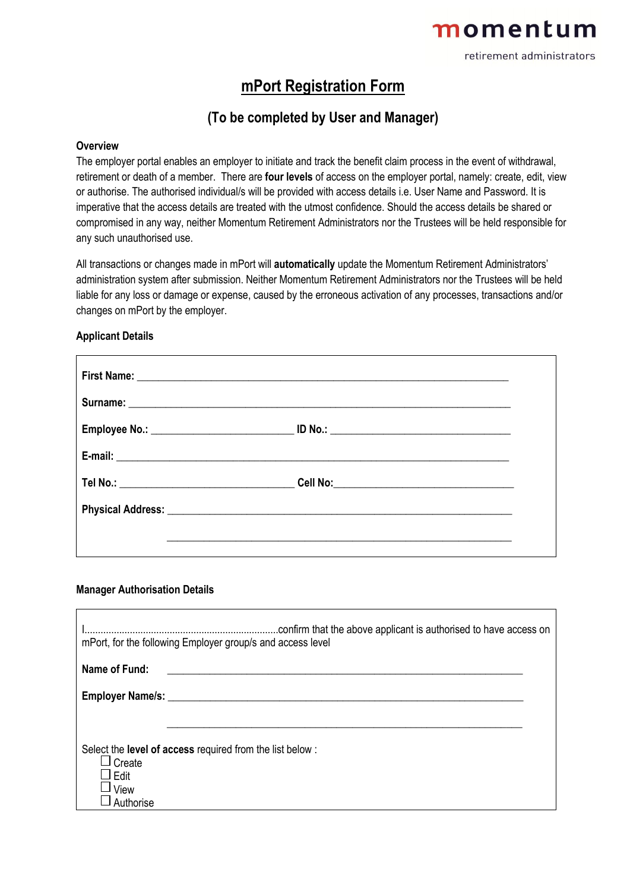# momentum

retirement administrators

### **mPort Registration Form**

### **(To be completed by User and Manager)**

#### **Overview**

The employer portal enables an employer to initiate and track the benefit claim process in the event of withdrawal, retirement or death of a member. There are **four levels** of access on the employer portal, namely: create, edit, view or authorise. The authorised individual/s will be provided with access details i.e. User Name and Password. It is imperative that the access details are treated with the utmost confidence. Should the access details be shared or compromised in any way, neither Momentum Retirement Administrators nor the Trustees will be held responsible for any such unauthorised use.

All transactions or changes made in mPort will **automatically** update the Momentum Retirement Administrators' administration system after submission. Neither Momentum Retirement Administrators nor the Trustees will be held liable for any loss or damage or expense, caused by the erroneous activation of any processes, transactions and/or changes on mPort by the employer.

#### **Applicant Details**

#### **Manager Authorisation Details**

|                                     | .confirm that the above applicant is authorised to have access on<br>mPort, for the following Employer group/s and access level |  |
|-------------------------------------|---------------------------------------------------------------------------------------------------------------------------------|--|
| Name of Fund:                       |                                                                                                                                 |  |
| Employer Name/s: ________           |                                                                                                                                 |  |
|                                     |                                                                                                                                 |  |
| Create<br>Edit<br>View<br>Authorise | Select the <b>level of access</b> required from the list below :                                                                |  |